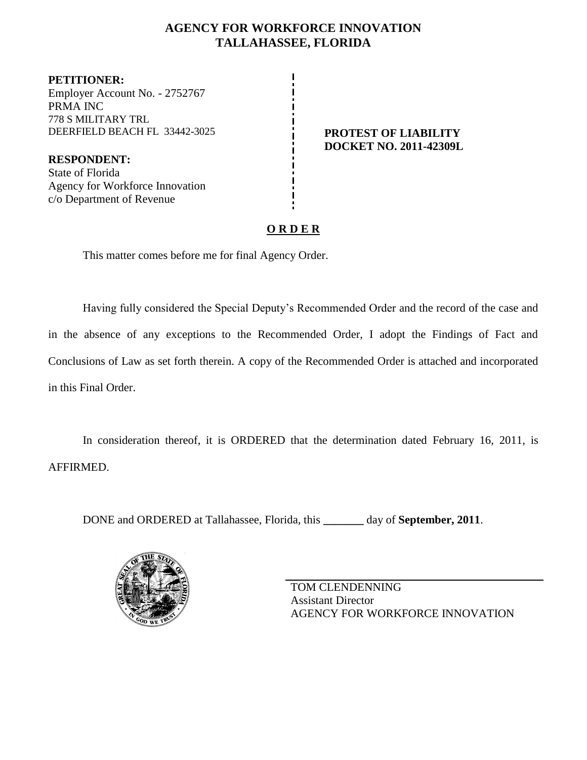## **AGENCY FOR WORKFORCE INNOVATION TALLAHASSEE, FLORIDA**

**PETITIONER:** Employer Account No. - 2752767 PRMA INC 778 S MILITARY TRL DEERFIELD BEACH FL 33442-3025 **PROTEST OF LIABILITY**

**RESPONDENT:** State of Florida Agency for Workforce Innovation c/o Department of Revenue

# **DOCKET NO. 2011-42309L**

## **O R D E R**

This matter comes before me for final Agency Order.

Having fully considered the Special Deputy's Recommended Order and the record of the case and in the absence of any exceptions to the Recommended Order, I adopt the Findings of Fact and Conclusions of Law as set forth therein. A copy of the Recommended Order is attached and incorporated in this Final Order.

In consideration thereof, it is ORDERED that the determination dated February 16, 2011, is AFFIRMED.

DONE and ORDERED at Tallahassee, Florida, this **\_\_\_\_\_\_\_** day of **September, 2011**.



TOM CLENDENNING Assistant Director AGENCY FOR WORKFORCE INNOVATION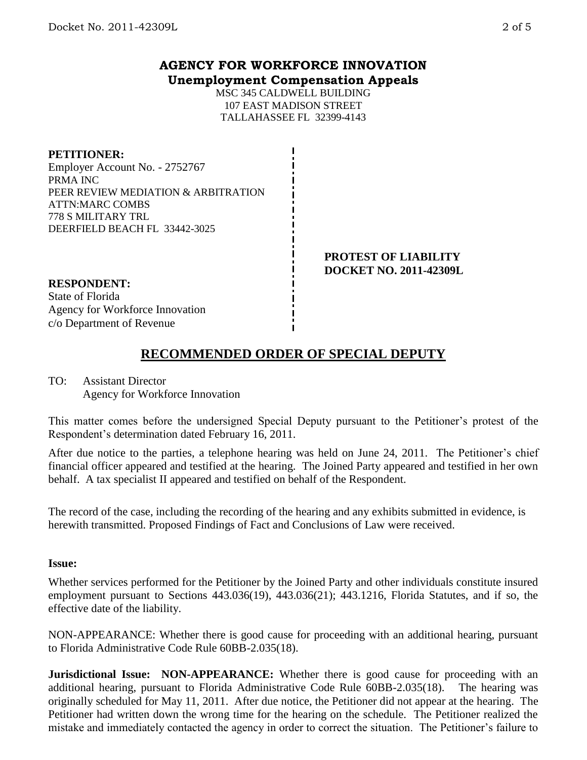## **AGENCY FOR WORKFORCE INNOVATION Unemployment Compensation Appeals**

MSC 345 CALDWELL BUILDING 107 EAST MADISON STREET TALLAHASSEE FL 32399-4143

**PETITIONER:** Employer Account No. - 2752767 PRMA INC PEER REVIEW MEDIATION & ARBITRATION ATTN:MARC COMBS 778 S MILITARY TRL DEERFIELD BEACH FL 33442-3025

> **PROTEST OF LIABILITY DOCKET NO. 2011-42309L**

**RESPONDENT:** State of Florida

Agency for Workforce Innovation c/o Department of Revenue

# **RECOMMENDED ORDER OF SPECIAL DEPUTY**

TO: Assistant Director Agency for Workforce Innovation

This matter comes before the undersigned Special Deputy pursuant to the Petitioner's protest of the Respondent's determination dated February 16, 2011.

After due notice to the parties, a telephone hearing was held on June 24, 2011. The Petitioner's chief financial officer appeared and testified at the hearing. The Joined Party appeared and testified in her own behalf. A tax specialist II appeared and testified on behalf of the Respondent.

The record of the case, including the recording of the hearing and any exhibits submitted in evidence, is herewith transmitted. Proposed Findings of Fact and Conclusions of Law were received.

### **Issue:**

Whether services performed for the Petitioner by the Joined Party and other individuals constitute insured employment pursuant to Sections 443.036(19), 443.036(21); 443.1216, Florida Statutes, and if so, the effective date of the liability.

NON-APPEARANCE: Whether there is good cause for proceeding with an additional hearing, pursuant to Florida Administrative Code Rule 60BB-2.035(18).

**Jurisdictional Issue: NON-APPEARANCE:** Whether there is good cause for proceeding with an additional hearing, pursuant to Florida Administrative Code Rule 60BB-2.035(18). The hearing was originally scheduled for May 11, 2011. After due notice, the Petitioner did not appear at the hearing. The Petitioner had written down the wrong time for the hearing on the schedule. The Petitioner realized the mistake and immediately contacted the agency in order to correct the situation. The Petitioner's failure to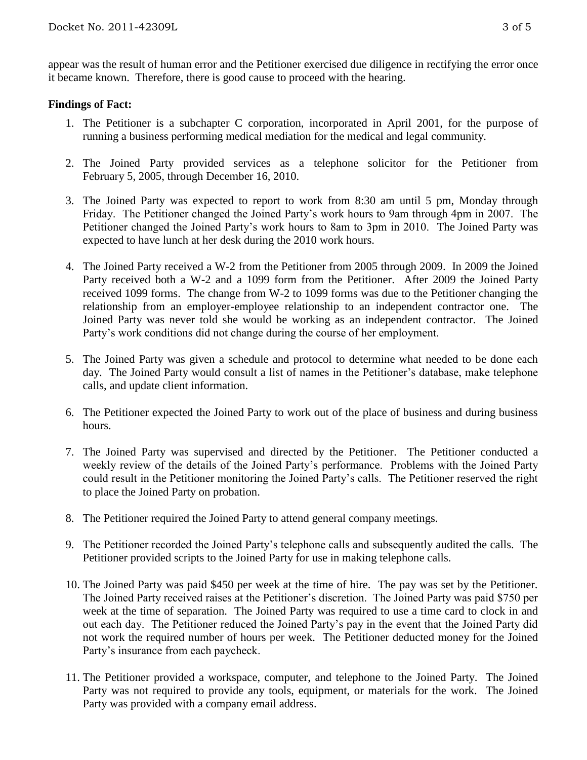appear was the result of human error and the Petitioner exercised due diligence in rectifying the error once it became known. Therefore, there is good cause to proceed with the hearing.

#### **Findings of Fact:**

- 1. The Petitioner is a subchapter C corporation, incorporated in April 2001, for the purpose of running a business performing medical mediation for the medical and legal community.
- 2. The Joined Party provided services as a telephone solicitor for the Petitioner from February 5, 2005, through December 16, 2010.
- 3. The Joined Party was expected to report to work from 8:30 am until 5 pm, Monday through Friday. The Petitioner changed the Joined Party's work hours to 9am through 4pm in 2007. The Petitioner changed the Joined Party's work hours to 8am to 3pm in 2010. The Joined Party was expected to have lunch at her desk during the 2010 work hours.
- 4. The Joined Party received a W-2 from the Petitioner from 2005 through 2009. In 2009 the Joined Party received both a W-2 and a 1099 form from the Petitioner. After 2009 the Joined Party received 1099 forms. The change from W-2 to 1099 forms was due to the Petitioner changing the relationship from an employer-employee relationship to an independent contractor one. The Joined Party was never told she would be working as an independent contractor. The Joined Party's work conditions did not change during the course of her employment.
- 5. The Joined Party was given a schedule and protocol to determine what needed to be done each day. The Joined Party would consult a list of names in the Petitioner's database, make telephone calls, and update client information.
- 6. The Petitioner expected the Joined Party to work out of the place of business and during business hours.
- 7. The Joined Party was supervised and directed by the Petitioner. The Petitioner conducted a weekly review of the details of the Joined Party's performance. Problems with the Joined Party could result in the Petitioner monitoring the Joined Party's calls. The Petitioner reserved the right to place the Joined Party on probation.
- 8. The Petitioner required the Joined Party to attend general company meetings.
- 9. The Petitioner recorded the Joined Party's telephone calls and subsequently audited the calls. The Petitioner provided scripts to the Joined Party for use in making telephone calls.
- 10. The Joined Party was paid \$450 per week at the time of hire. The pay was set by the Petitioner. The Joined Party received raises at the Petitioner's discretion. The Joined Party was paid \$750 per week at the time of separation. The Joined Party was required to use a time card to clock in and out each day. The Petitioner reduced the Joined Party's pay in the event that the Joined Party did not work the required number of hours per week. The Petitioner deducted money for the Joined Party's insurance from each paycheck.
- 11. The Petitioner provided a workspace, computer, and telephone to the Joined Party. The Joined Party was not required to provide any tools, equipment, or materials for the work. The Joined Party was provided with a company email address.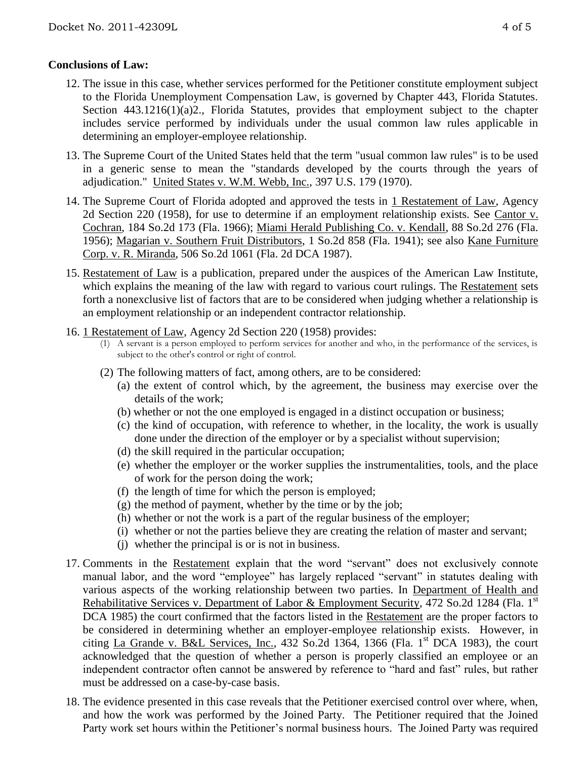## **Conclusions of Law:**

- 12. The issue in this case, whether services performed for the Petitioner constitute employment subject to the Florida Unemployment Compensation Law, is governed by Chapter 443, Florida Statutes. Section 443.1216(1)(a)2., Florida Statutes, provides that employment subject to the chapter includes service performed by individuals under the usual common law rules applicable in determining an employer-employee relationship.
- 13. The Supreme Court of the United States held that the term "usual common law rules" is to be used in a generic sense to mean the "standards developed by the courts through the years of adjudication." United States v. W.M. Webb, Inc., 397 U.S. 179 (1970).
- 14. The Supreme Court of Florida adopted and approved the tests in 1 Restatement of Law, Agency 2d Section 220 (1958), for use to determine if an employment relationship exists. See Cantor v. Cochran, 184 So.2d 173 (Fla. 1966); Miami Herald Publishing Co. v. Kendall, 88 So.2d 276 (Fla. 1956); Magarian v. Southern Fruit Distributors, 1 So.2d 858 (Fla. 1941); see also Kane Furniture Corp. v. R. Miranda, 506 So.2d 1061 (Fla. 2d DCA 1987).
- 15. Restatement of Law is a publication, prepared under the auspices of the American Law Institute, which explains the meaning of the law with regard to various court rulings. The Restatement sets forth a nonexclusive list of factors that are to be considered when judging whether a relationship is an employment relationship or an independent contractor relationship.
- 16. 1 Restatement of Law, Agency 2d Section 220 (1958) provides:
	- (1) A servant is a person employed to perform services for another and who, in the performance of the services, is subject to the other's control or right of control.
	- (2) The following matters of fact, among others, are to be considered:
		- (a) the extent of control which, by the agreement, the business may exercise over the details of the work;
		- (b) whether or not the one employed is engaged in a distinct occupation or business;
		- (c) the kind of occupation, with reference to whether, in the locality, the work is usually done under the direction of the employer or by a specialist without supervision;
		- (d) the skill required in the particular occupation;
		- (e) whether the employer or the worker supplies the instrumentalities, tools, and the place of work for the person doing the work;
		- (f) the length of time for which the person is employed;
		- $(g)$  the method of payment, whether by the time or by the job;
		- (h) whether or not the work is a part of the regular business of the employer;
		- (i) whether or not the parties believe they are creating the relation of master and servant;
		- (j) whether the principal is or is not in business.
- 17. Comments in the Restatement explain that the word "servant" does not exclusively connote manual labor, and the word "employee" has largely replaced "servant" in statutes dealing with various aspects of the working relationship between two parties. In Department of Health and Rehabilitative Services v. Department of Labor & Employment Security, 472 So.2d 1284 (Fla. 1<sup>st</sup> DCA 1985) the court confirmed that the factors listed in the Restatement are the proper factors to be considered in determining whether an employer-employee relationship exists. However, in citing La Grande v. B&L Services, Inc., 432 So.2d 1364, 1366 (Fla. 1st DCA 1983), the court acknowledged that the question of whether a person is properly classified an employee or an independent contractor often cannot be answered by reference to "hard and fast" rules, but rather must be addressed on a case-by-case basis.
- 18. The evidence presented in this case reveals that the Petitioner exercised control over where, when, and how the work was performed by the Joined Party. The Petitioner required that the Joined Party work set hours within the Petitioner's normal business hours. The Joined Party was required